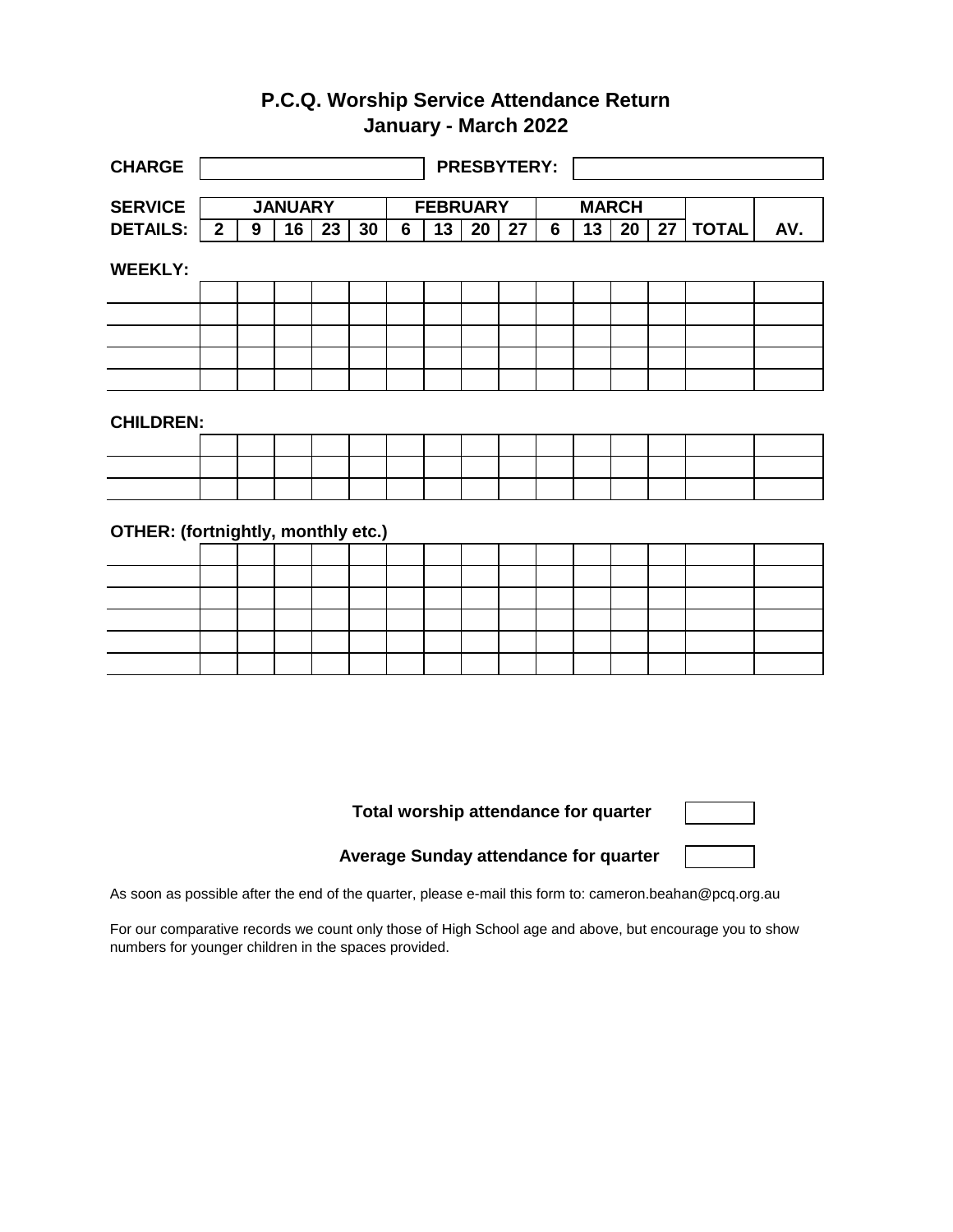## **P.C.Q. Worship Service Attendance Return January - March 2022**

| <b>CHARGE</b>                      |                |   |                |                 |    |                | <b>PRESBYTERY:</b> |                 |                 |                |    |                 |                 |              |     |
|------------------------------------|----------------|---|----------------|-----------------|----|----------------|--------------------|-----------------|-----------------|----------------|----|-----------------|-----------------|--------------|-----|
| <b>SERVICE</b>                     |                |   | <b>JANUARY</b> |                 |    |                | <b>FEBRUARY</b>    |                 |                 |                |    | <b>MARCH</b>    |                 |              |     |
| <b>DETAILS:</b>                    | $\overline{2}$ | 9 | 16             | $\overline{23}$ | 30 | $\overline{6}$ | 13                 | $\overline{20}$ | $\overline{27}$ | $\overline{6}$ | 13 | $\overline{20}$ | $\overline{27}$ | <b>TOTAL</b> | AV. |
| <b>WEEKLY:</b>                     |                |   |                |                 |    |                |                    |                 |                 |                |    |                 |                 |              |     |
|                                    |                |   |                |                 |    |                |                    |                 |                 |                |    |                 |                 |              |     |
|                                    |                |   |                |                 |    |                |                    |                 |                 |                |    |                 |                 |              |     |
|                                    |                |   |                |                 |    |                |                    |                 |                 |                |    |                 |                 |              |     |
|                                    |                |   |                |                 |    |                |                    |                 |                 |                |    |                 |                 |              |     |
|                                    |                |   |                |                 |    |                |                    |                 |                 |                |    |                 |                 |              |     |
| <b>CHILDREN:</b>                   |                |   |                |                 |    |                |                    |                 |                 |                |    |                 |                 |              |     |
|                                    |                |   |                |                 |    |                |                    |                 |                 |                |    |                 |                 |              |     |
|                                    |                |   |                |                 |    |                |                    |                 |                 |                |    |                 |                 |              |     |
|                                    |                |   |                |                 |    |                |                    |                 |                 |                |    |                 |                 |              |     |
| OTHER: (fortnightly, monthly etc.) |                |   |                |                 |    |                |                    |                 |                 |                |    |                 |                 |              |     |
|                                    |                |   |                |                 |    |                |                    |                 |                 |                |    |                 |                 |              |     |
|                                    |                |   |                |                 |    |                |                    |                 |                 |                |    |                 |                 |              |     |
|                                    |                |   |                |                 |    |                |                    |                 |                 |                |    |                 |                 |              |     |
|                                    |                |   |                |                 |    |                |                    |                 |                 |                |    |                 |                 |              |     |
|                                    |                |   |                |                 |    |                |                    |                 |                 |                |    |                 |                 |              |     |

**Total worship attendance for quarter**

**Average Sunday attendance for quarter**

As soon as possible after the end of the quarter, please e-mail this form to: cameron.beahan@pcq.org.au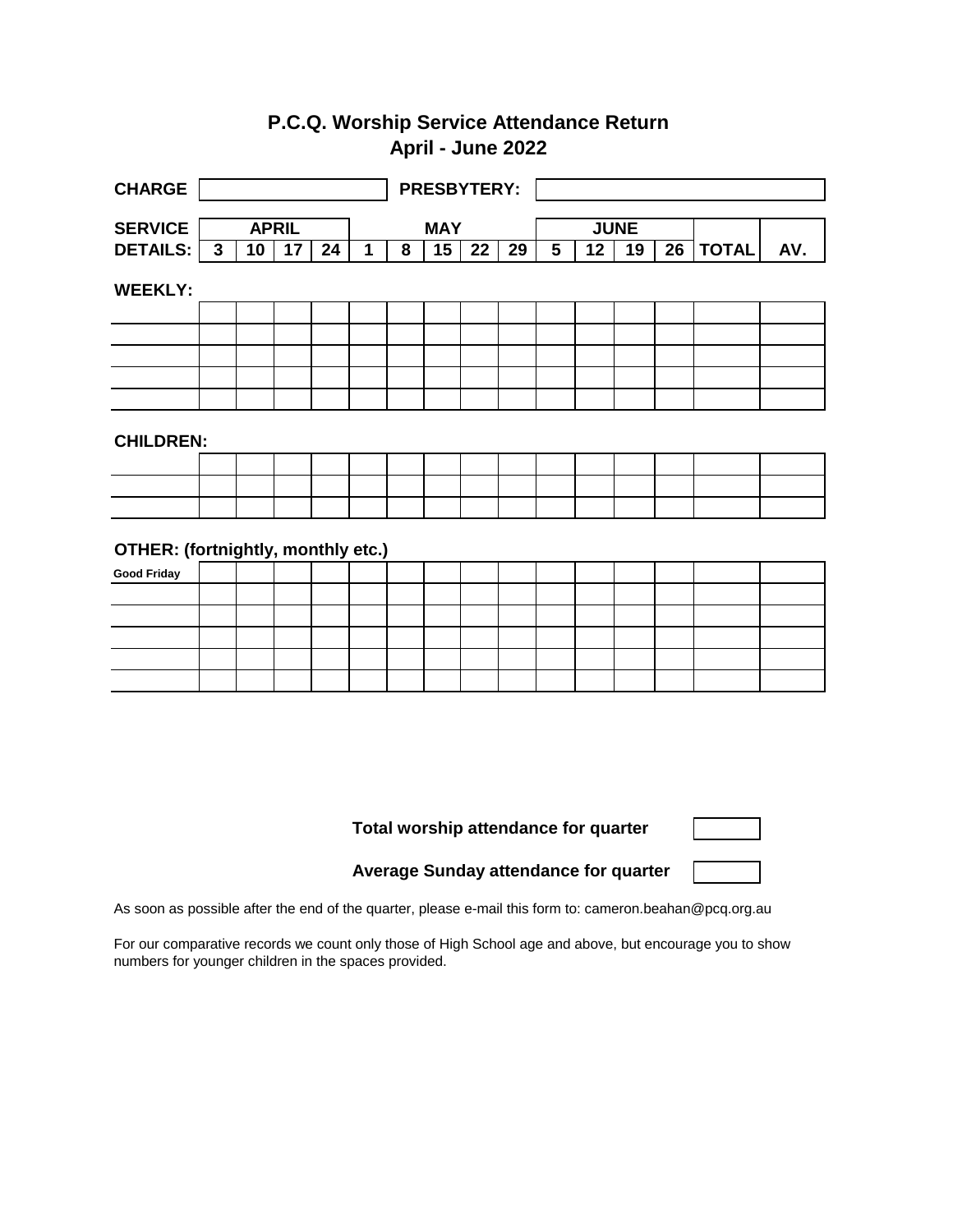## **P.C.Q. Worship Service Attendance Return April - June 2022**

| <b>CHARGE</b>                      |              |    |    |    | <b>PRESBYTERY:</b> |            |    |    |             |   |    |    |    |              |     |
|------------------------------------|--------------|----|----|----|--------------------|------------|----|----|-------------|---|----|----|----|--------------|-----|
|                                    |              |    |    |    |                    |            |    |    |             |   |    |    |    |              |     |
| <b>SERVICE</b>                     | <b>APRIL</b> |    |    |    |                    | <b>MAY</b> |    |    | <b>JUNE</b> |   |    |    |    |              |     |
| <b>DETAILS:</b>                    | 3            | 10 | 17 | 24 | 1                  | 8          | 15 | 22 | 29          | 5 | 12 | 19 | 26 | <b>TOTAL</b> | AV. |
| <b>WEEKLY:</b>                     |              |    |    |    |                    |            |    |    |             |   |    |    |    |              |     |
|                                    |              |    |    |    |                    |            |    |    |             |   |    |    |    |              |     |
|                                    |              |    |    |    |                    |            |    |    |             |   |    |    |    |              |     |
|                                    |              |    |    |    |                    |            |    |    |             |   |    |    |    |              |     |
|                                    |              |    |    |    |                    |            |    |    |             |   |    |    |    |              |     |
|                                    |              |    |    |    |                    |            |    |    |             |   |    |    |    |              |     |
| <b>CHILDREN:</b>                   |              |    |    |    |                    |            |    |    |             |   |    |    |    |              |     |
|                                    |              |    |    |    |                    |            |    |    |             |   |    |    |    |              |     |
|                                    |              |    |    |    |                    |            |    |    |             |   |    |    |    |              |     |
|                                    |              |    |    |    |                    |            |    |    |             |   |    |    |    |              |     |
| OTHER: (fortnightly, monthly etc.) |              |    |    |    |                    |            |    |    |             |   |    |    |    |              |     |
| <b>Good Friday</b>                 |              |    |    |    |                    |            |    |    |             |   |    |    |    |              |     |
|                                    |              |    |    |    |                    |            |    |    |             |   |    |    |    |              |     |
|                                    |              |    |    |    |                    |            |    |    |             |   |    |    |    |              |     |
|                                    |              |    |    |    |                    |            |    |    |             |   |    |    |    |              |     |
|                                    |              |    |    |    |                    |            |    |    |             |   |    |    |    |              |     |
|                                    |              |    |    |    |                    |            |    |    |             |   |    |    |    |              |     |

**Total worship attendance for quarter**

**Average Sunday attendance for quarter**

As soon as possible after the end of the quarter, please e-mail this form to: cameron.beahan@pcq.org.au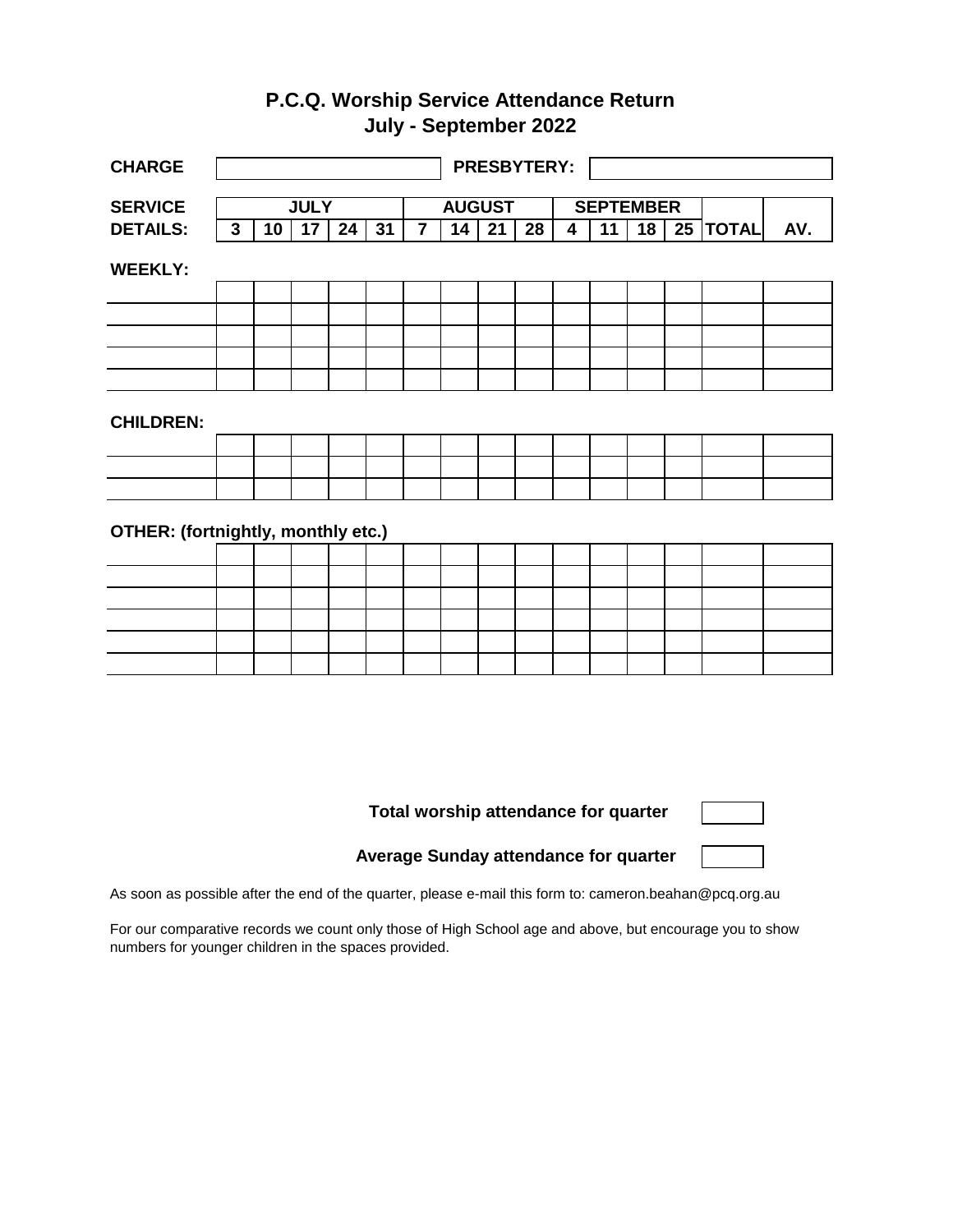## **P.C.Q. Worship Service Attendance Return July - September 2022**

| <b>CHARGE</b>                      |              |    |    |    |    |                | <b>PRESBYTERY:</b> |    |    |                  |                 |                 |  |                       |     |
|------------------------------------|--------------|----|----|----|----|----------------|--------------------|----|----|------------------|-----------------|-----------------|--|-----------------------|-----|
|                                    |              |    |    |    |    |                |                    |    |    |                  |                 |                 |  |                       |     |
| <b>SERVICE</b>                     | <b>JULY</b>  |    |    |    |    | <b>AUGUST</b>  |                    |    |    | <b>SEPTEMBER</b> |                 |                 |  |                       |     |
| <b>DETAILS:</b>                    | $\mathbf{3}$ | 10 | 17 | 24 | 31 | $\overline{7}$ | 14                 | 21 | 28 | 4                | $\overline{11}$ | $\overline{18}$ |  | $\overline{25}$ TOTAL | AV. |
| <b>WEEKLY:</b>                     |              |    |    |    |    |                |                    |    |    |                  |                 |                 |  |                       |     |
|                                    |              |    |    |    |    |                |                    |    |    |                  |                 |                 |  |                       |     |
|                                    |              |    |    |    |    |                |                    |    |    |                  |                 |                 |  |                       |     |
|                                    |              |    |    |    |    |                |                    |    |    |                  |                 |                 |  |                       |     |
|                                    |              |    |    |    |    |                |                    |    |    |                  |                 |                 |  |                       |     |
|                                    |              |    |    |    |    |                |                    |    |    |                  |                 |                 |  |                       |     |
| <b>CHILDREN:</b>                   |              |    |    |    |    |                |                    |    |    |                  |                 |                 |  |                       |     |
|                                    |              |    |    |    |    |                |                    |    |    |                  |                 |                 |  |                       |     |
|                                    |              |    |    |    |    |                |                    |    |    |                  |                 |                 |  |                       |     |
|                                    |              |    |    |    |    |                |                    |    |    |                  |                 |                 |  |                       |     |
| OTHER: (fortnightly, monthly etc.) |              |    |    |    |    |                |                    |    |    |                  |                 |                 |  |                       |     |
|                                    |              |    |    |    |    |                |                    |    |    |                  |                 |                 |  |                       |     |
|                                    |              |    |    |    |    |                |                    |    |    |                  |                 |                 |  |                       |     |
|                                    |              |    |    |    |    |                |                    |    |    |                  |                 |                 |  |                       |     |
|                                    |              |    |    |    |    |                |                    |    |    |                  |                 |                 |  |                       |     |
|                                    |              |    |    |    |    |                |                    |    |    |                  |                 |                 |  |                       |     |
|                                    |              |    |    |    |    |                |                    |    |    |                  |                 |                 |  |                       |     |

**Total worship attendance for quarter**

**Average Sunday attendance for quarter**

As soon as possible after the end of the quarter, please e-mail this form to: cameron.beahan@pcq.org.au